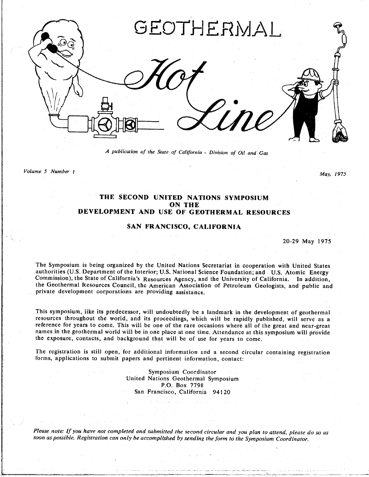

*/*1 *publication of the State of California* **-** *Division of Oil and Gas*

Volume 5 Number 1

*Volume* 5 *Number 1 May, 1975*

## **THE SECOND UNITED NATIONS SYMPOSIUM ON THE DEVELOPMENT AND USE OF GEOTHERMAL RESOURCES**

## **SAN FRANCISCO, CALIFORNIA**

20-29 May 1975

The Symposium is being organized by the United Nations Secretariat in cooperation with United States authorities (U.S. Department of the Interior; U.S. National Science Foundation; and U.S. Atomic Energy Commission), the State of California's Resources Agency, and the University of California. In addition, the Geothermal Resources Council, the American Association of Petroleum Geologists, and public and the Geodonermal Corporations are providing assistance private development corporations are providing assistance.

This symposium, like its predecessor, will undoubtedly be a landmark in the development of geothermal resources throughout the world, and its proceedings, which will be rapidly published, will serve as a reference for years to come. This will be one of the rare occasions where all of the great and near-great names in the geothermal world will be in one place at one time. Attendance at this symposium will provide the exposure, contacts, and background that will be of use for years to come. the exposure, contacts, and background that will be of use for years to come.

forms, applications to submit papers and pertinent information contact:  $f_{\text{ref}}$ , applications to submit papers and pertinent information, contact:

> **Symposium Coordinator**<br>United Nations Geothermal Symposium P.O. Box 7798 1.O. BOA 779<br>Marie Orien Sa*n* Francisco. Califor*n*ia 94120

soon as possible. Registration can only be accomplished by sending the form to the Symmosium Conditional process *soon as pos*s*ible*, *Registration can only be accomplished by sending the for*m *to the Symposium Coordinator*.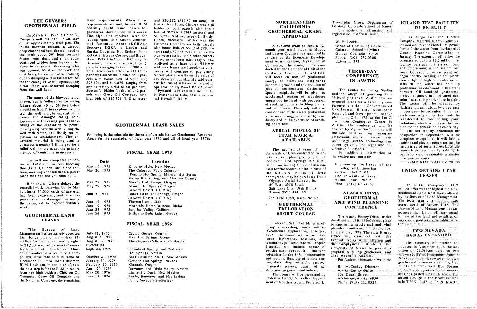## THE GEYSERS

On March 31, 1975, a Union Oil

expansion of ranch-<br>
filling of the excavation to permit<br>
Filling of the excavation to permit **GEOTHERMAL LEASE SALES** and the expansion of ranch-<br>
ing operations. The conference will be bine for the generation of electric filling of the excavation to permit **of CEOTHERMAL LEASE SALES** and in the excavation of the excavation of the excavation of the excavation of the excavation of the tur-<br> **ALLINE SALES** and isobutane, which will be turned moving a rig over the well, killing the exclusion to the excludion to the excludion to the excludion to the excludion of excels in the conference will be appled to the conference will be bine for the generation of excludio pletion of the ex- Areas for the remainder of the remainder of the remainder of the remainder of the remainder of the remainder the reservoir reserves and construct a nearby drilling pad for a reservoir reserves and constr

lease requirements. When these THE GEYSERS TO THE GEYSERS THE GEYSERS THE SET FACILITY<br>
TO BE BUILT AND TEST FACILITY<br>
TO BE BUILT AND TEST FACILITY<br>
TO BE BUILT AND TEST FACILITY<br>
TO BE BUILT **possibly** could issue leases for possibly could issue leases for bidder on both parcels with bonus **CEOTHERMAL GRANT** For additional information and geothermal development in 3 weeks. bids of \$125,619 (\$49 an acre) and The high bids received were for  $$115,275 ($54$ and acre)$  in Brady-<br> **GRANTICION FOR APPROVED** On March 31, 1975, a Union Oil The high bids received were for \$115,275 (\$54 and acre). In Brady-<br>
Company well, "G.D.C." 65-28, blew leasing rights to 3 Known Geother- Hazen, successful bidder was the<br>
out at approximatel out at approximately 6:45 p.m. The mal Resource Areas (KGRAs): Natomas Company on both parcels and the Source Areas and the Source Areas (KGRAs): Natomas Company on both parcels a sample of Continuing Education and the Sou out at a mitial blowout created a 20-foot Beowawe KGRA in Lander and with bonus bids of \$51,224 (\$20 an and the real Resolutional study in Modoc Colorado School of Mines for its Niland site from the Imperial deep crater an deep crater and bent the well head to Eureka Counties; Hot Springs Point acre) and \$37,688 (\$15 an acre). No month geometrical study in month and study in month with counties was approved in the south about 30° from vertic the south about 30° from vertical. KGRA in Eureka County, and Brady-<br>
Steam, rock dust, and small rocks Hazen KGRA in Churchill County. In offered at the lease sale. They will be<br>
langer the south of the comment of the com steam, rock dust, and small rocks Hazen KGRA in Churchill County. In offered at the lease sale. They will be the community of the community of the company to build a \$2.5 million test<br>continued to blow from the crater for continued to blow from the crater for Beowawe, bids were received on 5 reoffered at a later date. Hillsmer<br>about two days until the casing valve parcels averaging between 1900 and said once leases are issued the com-<br>comme commerce, the study, to be contracted to be contracted to be contracted to be contracted to be contracted and determining if the system will<br>was opened. Most of the rock and 2500 acres each, Chevron Oil Com- panies will co dust being blown out were probably any was successful bidder on 3 par-<br>
due to slumping within the crater. Af-<br>
due to slumping within the crater. Af-<br>
due to slumping within the crater. Af-<br>
due to slumping within the cra due to slumping within the crater. Af-<br>
ter the casing valve was opened, only 575,491, and \$15,075, ranging from petitive leasing sales are scheduled in example and the casing value was opened, only 575,491, and \$15,075, ranging from petitive leasing sales are scheduled in the casing in the casing sales in the water has held up<br>clean steam was observed escaping approximate the east was observed oscaping approximately \$204 to \$8 per acre. April for the Fly Ranch KGRA, north and the scheduled in the seales are seen in the seales are seen in the creation of the creation of the seales are seen i successive on the other and the difference of the cause of the blowout is not have not allow the successive of the other of the other and the cause of the blowout is not hadden of the other and the cause of the blowout is

and \$30,232 (\$12.50 an acre). In

moving is the schedule for the sale of certain Known Geothermal Resource<br>
pletion or abandonment. The ex-<br>
Although the schedule of facel war 1075, and all of fixel war 1075. well with the state of the state of finally resource is a search and complete except that it will lack a cavated material is being used to the remainder of fiscal year 1975 and all of fiscal year 1976:<br> **AVAILABLE** technol

**EXAMAL LAND** JUNE 25, 1978 STATE COURSE THE Alaska Energy Office, under for use of the land and royalties on<br>**LEASES** the direction of Bill McConkey, plans any steam production, in addition to **EISCAL YEAR 1976** Colorado School of Mines is of the approximate the angle of the amount bid. **Fi**SER 1978 COLORATO SCHOOL OF SPONSORICAL SCHOOL OF MINES IS A SERVAD A THE SCHOOL OF THE AMPLITUDE SCHOOL OF THE AMPLITUDE SPONSORICAL ASSESSMENT AND SCHOOL OF THE AMPLITUDE SPONSORICAL ASSESSMENT BIG. fering a week-long course en**t**itled planning conference in Anchorage, **T**W**O** N**E**VA**D**A

power systems, and legal and en-<br>
first series of tests, to evaluate the<br> **AVICO SECTRIC TEST OF THE TEST OF THE TEST OF THE TEST OF THE TEST OF THE TEST OF THE TEST OF THE TEST OF THE TEST** 

work. Construction of the plant will however, Gil Lombard, geothermal

constructed to the event the primary<br>
method of control is unsuccessful.<br>
The geothermal team of the vironmental aspects, the vironmental aspects, the control is unsuccessful the tests, to evaluate the method of control is relief were the event of control is unsuccessful.<br>
FISCAL YEAR 1975<br>
This agril photography of the the conference, contact:<br>
tain agril photography of the the conference, contact:

# UNION OBTAINS UTAH

The lease area consists of 11,830 acres, north of Beaver, Utah. The for use of the land and royalties on

| The well was completed in Sep-<br>tember 1968 and has been bleeding                                                 | Date                                            | Location                                                                                                                                      | Roosevelt Hot Springs K.G.R.A.,<br>Utah, Low sun angle illumination was                                    | Engineering Institutes of the                                            | --IMPERIAL VALLEY PRESS                                                                                                                              |
|---------------------------------------------------------------------------------------------------------------------|-------------------------------------------------|-----------------------------------------------------------------------------------------------------------------------------------------------|------------------------------------------------------------------------------------------------------------|--------------------------------------------------------------------------|------------------------------------------------------------------------------------------------------------------------------------------------------|
| through a $1/4$ inch line since that<br>time, awaiting connection to a power.<br>plant that has not yet been built. | May 15, 1975<br>May 20, 1975                    | Kilborne Hole, New Mexico<br>The Colorado Four, Colorado<br>(Poncho Hot Spring, Mineral Hot Spring,<br>Valley Hot Spring, and Alamosa County) | used for the nonmountainous parts of<br>the K.G.R.A. Prints of these<br>photographs may be purchased from: | College of Engineering<br>Cockrell Hall 2.102<br>The University of Texas | UNION OBTAINS UTAH<br><b>LEASES</b>                                                                                                                  |
| Rain and snow have delayed the<br>remedial work somewhat but by May<br>1, almost 70,000 yards of material           | May 22, 1975<br>May 29, 1975                    | Mickey Hot Springs, Oregon<br>Alvord Hot Springs, Oregon<br>(Alvord Desert K.G.R.A.)                                                          | Olympus Aerial Surveys, Inc.<br>50 West 2950 South<br>Salt Lake City, Utah 84115<br>Phone: (801) 484-4351  | Austin, Texas 78712<br>Phone: (512) 471-3506                             | Union Oil Company's \$2.7<br>million offer was the highest bid for 6                                                                                 |
| had been excavated, and it is ex-<br>pected that the damaged portion of<br>the casing will be exposed within a      | June 5, 1975<br>June 12, 1975                   | Borax Lake Hot Springs, Oregon<br>$(Alvord$ Desert $K.G.R.A.)$<br>Thermo-Lund, Utah                                                           | Job Title $4059$ , series No.1-5                                                                           | <b>ALASKA HOSTS</b><br><b>GEOTHERMAL</b><br>AND WIND PLANNING            | geothermal steam-tract leases offered<br>by the Bureau of Land Management.<br>The lease area consists of 11,830                                      |
| week.<br><b>GEOTHERMAL LAND</b>                                                                                     | June 19, 1975<br>June 23, 1975<br>June 26, 1975 | Mountain Home-Bruneau, Idaho<br>Surprise Valley, California<br>Stillwater-Soda Lake, Nevada                                                   | <b>GEOTHERMAL</b><br><b>EXPLORATION</b><br><b>SHORT COURSE</b>                                             | <b>CONFERENCE</b><br>The Alaska Energy Office under                      | acres, north of Beaver, Utah. The<br>Bureau of Land Management has an-<br>nounced that Union will pay rental<br>for use of the land and royalties on |

| ∵⊺ne<br>Bureau<br>of Land<br>July 31, 1975<br>Management has tentatively accepted<br><b>August 7, 1975</b><br>high bonus bids of more than \$1-<br>August 15, 1975<br>million for geothermal leasing rights<br>to 21,600 acres of national resource<br>(Tentative)<br>lands in Eureka. Lander and Chur-<br>Sept. 23, 1975<br>chill Counties as a result of a com-<br>October 21, 1975<br>petitive lease sale held in Reno on<br>January 20, 1976<br>December 18, 1974. John Hillsamer,<br>February 26, $1976$<br>BLM lands and minerals chief, said<br>April 20, 1976<br>the next step is for the BLM to secure<br>from the high bidders, Chevron Oil<br>May 20, 1976<br>June 15, 1976<br>Company, Getty Oil Company and<br>the Natomas Company, the remaining | Crump Geyser, Oregon<br>Vale Hot Springs, Oregon<br>The Geysers-Calistoga, California<br>Steamboat Springs and Wabuska<br>Hot Springs, Nevada<br>Baca Location No. 1, New Mexico<br>Gerlach Hot Springs, Nevada<br>Klamath, Oregon<br>Darrough and Dixie Valley, Nevada<br>Lightening Dock, New Mexico<br>Brady, Beowawe, and Hot Springs<br>Point, Nevada (re-offering) |  | "Geothermal Exploration," June 2-7,<br>1975. The course will include lec-<br>tures, laboratory sessions, and<br>seminar-type discussions. Topics<br>discussed will include: nature of<br>geothermal reservoirs, modern<br>volcanism in the U.S., neotectonism<br>and tectonic flux, use of remote sen-<br>sing data, deep resistivity surveys,<br>seismicity surveys, design of ex-<br>ploration programs, and others,<br>The course will be presented by<br>Professor George V: Keller, Depart-<br>ment of Geophysics; and Professor L. | July 8 and 9, 1975. The State Energy<br>Office will coordinate with the<br>Federal Energy Administration and<br>the Geophysical Institute at the<br>University of Alaska to present a<br>program with top geothermal and<br>wind experts in America.<br>For further information, write to:<br>Bill McConkey, Director<br>Alaska Energy Office<br>338 Denali Street<br>Anchorage, Alaska 99501<br>Phone: (907) 272-0527 | TWO NEVADA.<br>KGRAS EXPANDED<br>The Secretary of Interior an-<br>nounced in December 1974 the ad-<br>dition of $29,061,66$ acres to two<br>known geothermal resources areas in<br>Nevada. The Beowawe known<br>geothermal resources area has gained<br>20,512.50 acres and Hot Springs<br>Point known geothermal resources<br>area has gained 8,549.16 acres. The<br>added acreage in the Beowawe area<br>is in T.30N., $R.47E$ , T.31N., $R.47E$ . |
|----------------------------------------------------------------------------------------------------------------------------------------------------------------------------------------------------------------------------------------------------------------------------------------------------------------------------------------------------------------------------------------------------------------------------------------------------------------------------------------------------------------------------------------------------------------------------------------------------------------------------------------------------------------------------------------------------------------------------------------------------------------|--------------------------------------------------------------------------------------------------------------------------------------------------------------------------------------------------------------------------------------------------------------------------------------------------------------------------------------------------------------------------|--|------------------------------------------------------------------------------------------------------------------------------------------------------------------------------------------------------------------------------------------------------------------------------------------------------------------------------------------------------------------------------------------------------------------------------------------------------------------------------------------------------------------------------------------|------------------------------------------------------------------------------------------------------------------------------------------------------------------------------------------------------------------------------------------------------------------------------------------------------------------------------------------------------------------------------------------------------------------------|------------------------------------------------------------------------------------------------------------------------------------------------------------------------------------------------------------------------------------------------------------------------------------------------------------------------------------------------------------------------------------------------------------------------------------------------------|
|----------------------------------------------------------------------------------------------------------------------------------------------------------------------------------------------------------------------------------------------------------------------------------------------------------------------------------------------------------------------------------------------------------------------------------------------------------------------------------------------------------------------------------------------------------------------------------------------------------------------------------------------------------------------------------------------------------------------------------------------------------------|--------------------------------------------------------------------------------------------------------------------------------------------------------------------------------------------------------------------------------------------------------------------------------------------------------------------------------------------------------------------------|--|------------------------------------------------------------------------------------------------------------------------------------------------------------------------------------------------------------------------------------------------------------------------------------------------------------------------------------------------------------------------------------------------------------------------------------------------------------------------------------------------------------------------------------------|------------------------------------------------------------------------------------------------------------------------------------------------------------------------------------------------------------------------------------------------------------------------------------------------------------------------------------------------------------------------------------------------------------------------|------------------------------------------------------------------------------------------------------------------------------------------------------------------------------------------------------------------------------------------------------------------------------------------------------------------------------------------------------------------------------------------------------------------------------------------------------|

The cause of the blowout is not high bids of \$45,371 (\$18 an acre) tral Nevada"...B.L.M..<br>known, but is believed to be casing by the casing states operations involved with production in the second operations involved with mown, but is believed to be casing<br>
tailure about 40 to 50 feet below of seedling confers, bedding plants, ference entitled "Geo-pressured" and the steaned by<br>
failure about 40 to 50 feet below of seedling confers, bedding known, but is believed to be the contract to be the contract to be the contract to be the contract to be contracted the con- prompt about by a decrease<br>**contract primary plans** to con- The study will also and cut flowers. frace is a failure about the study will also and cut flowers. The study will also Geothermal Energy Resources:<br>
The study of the area's geothermal Research and Development, it is a large-before entering the heat<br>
trol the rol the well include excavation to consider use of the area's geothermal Research and Development," to take in pressure-- before entering the heat will be expose the damaged casing, rein-<br>expose the damaged casing, rein-<br>e the damaged casing, rein-<br>
torcement of the casing, partial back-<br>
torcement of the casing, partial back-<br>
transferred to low boiling point

The well was completed in Sep-<br>The well was completed in Sep-<br> **Example in Separation**<br> **Example in Separation**<br> **Example 1 Example 1 Rosevell** Hot Springs K.G.R.A.<br> **Example 1 Rosevell** Hot Springs K.G.R.A. Roosevelt Hot Springs K.G.R.A., **Conference, contact: of operating costs.** VALLEY PRESS Valley Hot **Sapring, Alamosa County, Alamosa County, Alamosa County, Alamosa County, Alamosa County, Phone: CASE<br>
Phone: CASE 471-3506 Union Oil Company's \$2.7** 

seminar-type discussions. Topics the Geophysical Institute at the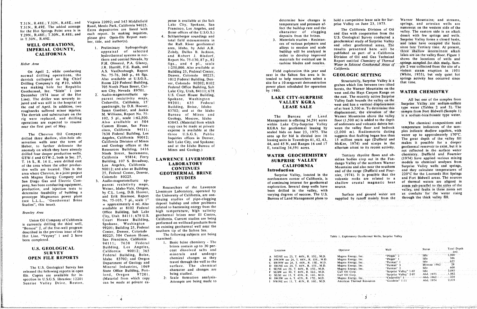Geothermal, Inc. "Silzle" I (see son City, Nevada 89701. Lake City, Utah, 84111; 678 by 1980. west and the Hays Canyon Range on December 1974 issue of the Hot 2. Audio-magnetotelluric ap U.S. Court House Building, **I.AKE CITY, SIIRPRISE** the east, The recently active Surprise December 1974 Issue of the Hot 2. Audio-magnetotelluric ap-<br>
LAKE CITY-SURPRISE the east, The recently active Surprise and Magnesic Magnes on WATTEN MCDA Valley fault bounds the valley on the All but one of the samples fro Line). The drift of the driller was still in the hospital at Cedarville, California, 15' 99201; 635 Federal WALLEY KGRA west-and has a vertical displacement the end of April. In addition, two quadrangle, by D.B. Hoover, Building, Boise, Idaho **LEASE SALE** and the end of April. In addition, two quadrangle, by D.B. Hoover, Building, Boise, Idaho **LEASE SALE** and 3500 m To determ the end of April. In addition, two quadrangle, by D.B. Hoover, Building, Boise, Idaho **LEASE SALE** of at least 3,500 m. To determine this type water (Tables 2 and 3). The roughnecks suffered minor injuries. Susan Gardner, The derrick and substructure on the M. Williams, Report No. 75-<br>
The Bureau of Land Manner Mountains and Jackie 83702; and Jackie 83702; and the sample of the sure of the sample of the sample is a sodium-bicarbonate type w

anomaly on which they have already **conserved Building**, 1416 Mines and Geology. anomaly on which they have already and Resources Building, 1416 Mines and Geology.)<br>
drilled four deeper production wells. Ninth Street, Sacramento, MATER GEOCHEMISTRY Tertiary rhyolite flows and ob-<br>
and Consider the Surf drilled four deeper production website for the Galifornia 95814; Ferry GTW-I and GTW-2, both in Sec. 27, California 95814; Ferry LAWRENCE LIVERMORE SURPRISE VALLEY sidian bodies crop out in the Fan- (1974) have applied various mixing T. 16 S., R. 14 E., were drilled east Building, 107 S. Broa T. 16 S., R. 14 E., were arrited east Bunding, 107 S. Bloadway,<br>
of the area where the other production of the area where the other production of the area where the other production of the area where the other production o of the area where the southern Surprise Walley Was also at Building<br>tive wells are located. This is the 90012; and also at Building **CONTINUES Introduction** and of the range (Duffield and Four- and they calculate tempera area where Chevron, in a joint project 25, Federal Center, Denver, GEOTHERMAL BRINE and Surprise Valley, located in the lange (Dunion and Tour and Tour 220°C for the Leonards Hot Springs with Magma Energy Company and Color with Magma Energy Company and Colorado 80225.<br>
STUDIES FOR COMPARTMENT OF THE STUDIES COMPARTMENT OF THE STUDIES COMPARTMENT OF THE SUBATION OF THE SUBARUS<br>
STUDIES COMPARTMENT OF THE SUBARUS OF THE SUBARUS OF THE SUBARUS San Diego Gas and Electric Com-<br>
pany, has been conducting equipment, parent resistivity maps,<br>
pany, has been conducting equipment, parent resistivity maps, pany, has been conducting equipment, parent resistivity maps, and Electric Cornelius of the computation of the state of the state of the state of the state of the state of the state of the state of the state of the state o production, and injection tests to Weiser, Idaho-Vale, Oregon, Researchers of the Lawrence exploration, several usep wells have source.<br>Actomobility of building a by CL Long D.B. Hoover Livermore Laboratory, operated by be determine feasibility of building a by C.L. Long, D.B. Hoover, Livermore Laboratory, operated by<br>determine feasibility of building a by C.L. Long, D.B. Hoover, Livermore Laboratory, operated by varying degrees of success. determine teasibility of building a by C.L. Long. Property the University of California, are con-<br>
prototype Magnamax power plant and Erik Bramsoc, Report the University of California, are con-<br>
contact the victor of the v  $p$ ramsoe. L.L.L., "Geothermal Brine No. 75-103, 7 pl., scale 1"

is currently drilling the third well. Spokene, we have the spoken well an existing geothermal well near the program described in the previous issue of the **Figure-Center**, Denver, Colorado southern tip of the Salton Sea. Hot Line. "Veysey" 1 and 2 have 80225; 504 Custom House, The following subjects are being heen completed. "San Francisco, California examined."

file. Copies are arrest at the copies are all copies and the second for in- language of the studies of the studies of the studies of the studies of the studies of the studies of the studies of the studies of the studies of spection in U.S.G.S. Included Team is can be made at private ex-<br>Sunrise Valley Drive, Reston, can be made at private ex-<br>Attempts are being made to Sunrise Valley Drive. Reston. Can be made at private ex- Attenpts are being, made to I NWINE sec II. T. 4IN.. R 16E.. M.D. American Thermal Resources "Gt\_ldwin" 1-11 Abd. 1974 2.1355 2.1355 2.1355 2.1355 2.1355 2.1355 2.13

Virginia 22092; and 345 Middlefield T.31N., R.48E.; T.32N., R.48E.; and Virginia 22092; and 345 Middlefield pense is available at the Salt determine how changes in hold a competitive lease is a competitive lease in hold a competitive lease is a competitive a The anti-temperature and the movement of the buildup rate and the temperature and the california Division of Oil primerous on the western side of the and the restern side of the principal prise of the buildup rate and the T. 29N., R.48E; T.30N., R.48E; and each report. In making inquiries, Boise offices of the U.S.G.S.) character of clogging and Gas with cooperation from the Valley. Inc. eastern side is an alkall numerical properation of Cl in T.30N., R.49E. Samples and the series of the series of the series of the series of the series of the series<br>in T.30N., R.49E. Samples and the series of the series of the series of the series of the series of the series<br>

J.R. Harrill, F.E. Rush, and

94111: 7638 Federal 1. Basic brine chemistry - The

Field exploration this year and On April 2, while conducting **A.S. VanDenburgh, Report** Building 25, Federal Center, Field exploration this year and violent steam eruption in 1951 normal drilling operations, the No. 75-76, 360 p., 46 figs. Denver, Colora derrick collapsed on Big Chief Also available at U.S.G.S., 1012 Federal Building, Den-Drilling Company's rig #10, which Room 229 Federal Building, ver, Colorado 80202; 8102<br>
Drilling Company's rig #10, which Room 229 Federal Building, ver, Colorado 80202; 8102 Drilling Company's rig **#**10. which Room 229 Federal Building, ver**.** Colorado 80202; 8102 **s**ite for a 10megawatt demonstration Structurally, Surpri**s**e Valley i**s** a that time.

The dureau of Land substructure on the Mines above the valley<br>
negations are expected to resume also available at 504 83843 Material from which Management is offering 34,591 acres floor (1,500 m) is added to the depth right were replaced to resume and drilling and drilling the management is offering 34,591 acres and the driver in the depth of the depth of the depth of the depth of the depth of the depth of the depth of the depth of the Custom House, San Fran-<br>
cisco, California 94111; expense is available at the **KGRA** for geothermal leasing by ween the valley floor and betock temperature indicators of the sam-<br>
California 94111; expense is available at cisco, California 94111; expense is available at the material custom House, San Francy can be made at private temperature of the valley for geothermal leasting plane indicate shallow aquifers, with<br>The Chevron Oil Company clesco, California 90012; three U.S.G.S. Public sealed bidded into 16 suggests that faulting began learning water up to approximately 170°C.<br>Angeles, California 90012; Inquiries offices in Denver, and the sealed bidded int The Chevron Oil Company 7638 Federal Building, Suppose the Chevrolet into the Suppose the Company of the Valley fill<br>Salt Lake City, and Spokane;<br>An and AS and AS and AS and 17<sup>0</sup>C Mokes 16 and scarps in the makes it possi and Geology offices at the and at the Idaho Bureau of E totalling 24.5 N, and Ranges 16 and 17 McKee, 1974) and scarps in the makes it possible for a deeper and Geology offices at the and at the Idaho Bureau of E totalling Heber, to further delineate the and Geology offices at the and at the Idaho Bureau of **California Division of the City, and Spokes** it possible for a deeper activity.

| <b>EOLOGICAL</b><br><b>SURVEY</b>                                                                                                       | Building,<br>Los Angeles,<br>90012:365<br>California                                                                                          | brines contain up to 30 per-<br>cent dissolved salts and                                                                           | Location                                                                                                                                                                                                                                             | Operator                                                                                                                         | Well                                                                                               | Total Depth<br>Status                                                                           |
|-----------------------------------------------------------------------------------------------------------------------------------------|-----------------------------------------------------------------------------------------------------------------------------------------------|------------------------------------------------------------------------------------------------------------------------------------|------------------------------------------------------------------------------------------------------------------------------------------------------------------------------------------------------------------------------------------------------|----------------------------------------------------------------------------------------------------------------------------------|----------------------------------------------------------------------------------------------------|-------------------------------------------------------------------------------------------------|
| FILE REPORTS                                                                                                                            | Federal Building, Boise,<br>Idaho 83702; and Oregon<br>Department of Geology and                                                              | undergo<br>and<br>minerals<br>chemical changes as they<br>travel through the well to the                                           | A NE/NE sec 23, T. 44N., R. 15E., M.D.<br>B NW/NW sec 24, T, 44N, R, 15E, M.D.<br>C SW/NW sec 24, T, 44N, R, 15E, M.D.                                                                                                                               | Magma Energy, Inc.<br>Magma Energy, Inc.<br>Magma Energy, Inc.                                                                   | "Phipps" 2<br>"Phipps" 1<br>— Parman∴<br>"Parman" 3                                                | Idie -<br>Blowout 1962                                                                          |
| Geological Survey has<br>following reports in open<br>are available for in-<br>J.S.G.S. libraries: 12201<br><b>All Postage Discover</b> | Mineral Industries, 1069<br>State Office Building, Port-<br>97201.<br>land, Oregon<br>(Material from which copy<br>ann ha mode of nrivate ex. | surface. The chemical<br>character and changes are<br>being studied.<br>2. Scale formation analysis-<br>Attempts are being made to | D SW/NE sec 24, T, 44N, R, 15E, M.D.<br>E -SE/NE sec 24, T. 44N., R. 15E., M.D.<br>F SE/SW sec 30, T. 44N, R. 16E., M.D.<br>G SE/SE sec 13, T. $43N$ , R. 16E, M.D.<br>$H$ SW/SW sec 6, T, 42N, R, 17E, M.D.<br>NW/NE sec 11, T. 41N., R. 16E., M.D. | Magma Energy, Inc.<br>Magma Energy, Inc.<br>Gulf Oil Corp.<br>Gulf Oil Corp.<br>Magma Energy, Inc.<br>American Thermal Resources | "Parman" 2<br>"Surprise Valley" 1-ST<br>"Surprise Valley" 2-ST<br>"Cedarville" 1<br>"Goodwin" T-11 | - Tale<br>$-1.982$<br>Abd. 1973<br>. . <del></del> .  224<br>Abd. 1962<br>$-2.135$<br>Abd. 1974 |

| U.S. GEVLOGICAL<br><b>SURVEY</b>                                             | 90012:365<br>California                                  | cent dissolved salts and                               | Location                                                                         | Operator                 |
|------------------------------------------------------------------------------|----------------------------------------------------------|--------------------------------------------------------|----------------------------------------------------------------------------------|--------------------------|
| <b>OPEN FILE REPORTS</b>                                                     | Federal Building, Boise,<br>Idaho 83702; and Oregon      | undergo<br>and<br>minerals<br>chemical changes as they | A NE/NE sec 23, T. 44N., R. 15E., M.D.                                           | Magma En                 |
|                                                                              | Department of Geology and                                | travel through the well to the                         | B NW/NW sec 24, T, 44N, R, 15E, M.D.<br>C SW/NW sec 24, T, 44N, R, 15E, M.D.     | Magma En<br>Magma En     |
| The U.S. Geological Survey has                                               | Mineral Industries, 1069<br>State Office Building, Port- | chemical<br>surface. The<br>character and changes are  | D SW/NE sec 24, T. 44N., R. 15E., M.D.<br>E SE/NE sec 24, T. 44N., R. 15E., M.D. | Magma En<br>Magma En     |
| released the following reports in open<br>file. Copies are available for in- | 97201.<br>land, Oregon                                   | being studied.                                         | F SE/SW sec 30, T. 44N., R. 16E., M.D.<br>G SE/SE sec 13, T. 43N., R. 16E., M.D. | Gulf Oil C<br>Gulf Oil C |
| $enation$ in $\text{H} \& \text{C} \& \text{ library}$                       | (Material from which copy)                               | Scale formation analysis.                              | H SW/SW sec 6, T, 42N, R, 17E, M.D.                                              | Magma Er                 |

hold a competitive lease sale for Sur-

Warner Mountains: and streams. **WELL OPERATIONS,** ber, the and additions). The Raft River geothermal case of various polymers and a surprise valley and lakes have occupied the basin **IMPERIAL COUNTY**, 1. Preliminary hydrogeologic area, Idaho, by Adel A.R. alloys to erosion and scale results presented here will be since late Tertiary time. At present, and the state of the present areas in the present o  $i$ **hree** shallow intermittent alkali CALIFORNIA approximately the selected and Robert J. Bisdorf, build by the beanalyzed in published as part of a California time shallow intermittent atkain<br>CALIFORNIA bydrothermal systems in normal and Robert J. Bisdorf, or ny and Robert J. Bisdorf, order to develop improved by Division of Oil and Gas Technical lines are on the valley hoor. Figure 1<br>Thern and central Nevada, by Report No. 75-130, 87 p., 82 materials for eventual use in Report F.H. Olmsted, P.A. Glancy, figs., and 4 pl., scale turbine blades and nozzles. Water in Selected Geothermal Areas of springs sampled for this study. Sam-Heber Area F.H. Olmsted, P.A. Glancy, figs., and 4 pl., scale turbine blades and nozzles. Water in Selected Geothermal Areas of springs sampled for this study. Sam-<br>J.R. Harrill, F.E. Rush, and 1:250,000. Also available at *x*<sub>cectea</sub> *in**i Euld exploration* this year and *violent* steam eruption in 1951

## **WATER CHEMISTRY**

The chemical compositions and Surprise Valley wells and springs,

### Table 1. Exploratory Geothermal Wells, Surprise Valley

4

pense is available at the Salt hereaft. River geothermal measurements in 3. Material measurements in 3. Material measurements in 3. Materials studies of various polymers and study of Surprise Valley of Surprise Valley of Surprise 1990 allows to erosion

Studies", this issue). The No. 75-103*.* 7 please of provincial Bring studies of the throughout problems in the throughout problems in the throughout plans to supplied by runoff mainly fill. Also available at 8102 Federal related to harnessing energy from the Office Building, Salt Lake high temperature, high salinity *Brawley Area* **Office Building, Salt Lake high temperature, high salinity**<br>City, Utah 84111; 678 U.S. geothermal brines near El Centro, Court House Building, California Current studies are being Union Oil Company of California Court House Building, California. Current studies are being<br>is currently drilling the third well, Spokane, Washington performed on wellhead products from

Building, Los Angeles, brines contain up to 30 per-U.S. GEOLOGICAL Building, Los Angeles, brinks contain up to 30 per-<br>SURVEY California 90012; 365 cent dissolved salts and<br>Federal Building Boise minerals and undergo

determine how changes in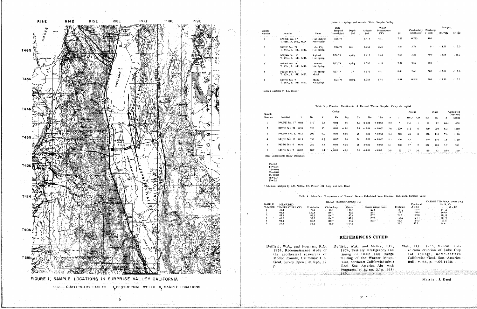

|                                                                                       |                                                                                        |                                                                                                         | Date                                                                         |                          |                 | Water                        |                    |                                 |                        | Isotopes!                                          |                          |
|---------------------------------------------------------------------------------------|----------------------------------------------------------------------------------------|---------------------------------------------------------------------------------------------------------|------------------------------------------------------------------------------|--------------------------|-----------------|------------------------------|--------------------|---------------------------------|------------------------|----------------------------------------------------|--------------------------|
| Sample<br>Num ber                                                                     | Location                                                                               | Name                                                                                                    | Sampled<br>(mo/dy/yr)                                                        | Depth<br>(n)             | Altitude<br>(m) | Temperature<br>$(^{\circ}C)$ | pH                 | Conductivity<br>(mmho/cm)       | Discharge<br>(1/min)   | $(80^{18} (2)$                                     | 8H <sub>2</sub>          |
| 1                                                                                     | NW/NE Sec. 17<br>T. 46N., R. 16E., M.D.                                                | Fort Bidwell<br>Reservation                                                                             | 7/26/73                                                                      |                          | 1.414.          | 45.1                         | 7.85               | 0.733                           | 400                    |                                                    |                          |
| $\boldsymbol{2}$                                                                      | SW/NE Sec. 24<br>T. 44N., R. 15E., M.D.                                                | Lake City<br>Hot Springs                                                                                | 8/16/73                                                                      | pool                     | 1,366           | 96.5                         | 7.44               | 3.74                            | $\theta$               | $-14.79$                                           | $-113.0$                 |
| 3                                                                                     | NW/NW Sec. 12<br>T. 43N., R. 16E., M.D.                                                | Seyferth<br>Hot Springs                                                                                 | 7/26/73                                                                      | spring                   | 1,417           | 85.4                         | 7.66               | 3.28                            | 500                    | $-14.05$                                           | $-121.2$                 |
| 4                                                                                     | NE/NE Sec. 13<br>T. 43N., R. 16E., M.D.                                                | Leonards<br>Hot Springs                                                                                 | 7/25/73                                                                      | spring                   | 1,390           | 61.8                         | 7.82               | 2.59                            | 150                    |                                                    |                          |
| 5                                                                                     | NE/SW Sec. 6<br>T. 42N., R. 17E., M.D.                                                 | Hot Sorings<br>Motel                                                                                    | 7/27/73                                                                      | 27                       | 1,372           | 98.1                         | 8,40               | 2.66                            | 300                    | $-13.81$                                           | $-112.0$                 |
| 6                                                                                     | NE/NE Sec. 7<br>T. 39N., R. 17E., M.D.                                                 | Menlo<br><b>HotSprings</b>                                                                              | 8/23/73                                                                      | spring                   | 1,384           | 57,4                         | 8.91               | 0.808                           | 500                    | $-15,30$                                           | $-112.3$                 |
|                                                                                       | Ilsotopic analysis by T.S. Presser                                                     |                                                                                                         |                                                                              |                          |                 |                              |                    |                                 |                        |                                                    |                          |
|                                                                                       |                                                                                        |                                                                                                         |                                                                              |                          |                 |                              |                    |                                 |                        |                                                    |                          |
|                                                                                       |                                                                                        |                                                                                                         | Table 3 - Chemical Constituents of Thermal Waters, Surprise Valley (in mg/l) |                          |                 |                              |                    |                                 |                        |                                                    |                          |
|                                                                                       |                                                                                        |                                                                                                         | Cations                                                                      |                          |                 |                              |                    | Anions                          | Other                  |                                                    | Calculated               |
| Sample<br>Number                                                                      | Li<br>Location                                                                         | Na<br>K                                                                                                 | Rb                                                                           | Mg                       | Ca<br>Mn        | Z <sub>n</sub>               | F<br>C1            | HCO<br>$_{\rm CO}$              | SO.<br>Si <sub>0</sub> | B                                                  | Dissolved<br>Solids      |
| $\mathbf{1}$                                                                          | NW/NE Sec. 17 0.03                                                                     | 110<br>9.5                                                                                              | 0.01                                                                         | 0.1                      | 4,2<br>< 0.01   | $\leq 0.005$                 | 2.2<br>31          | 131<br>$\cdot$ 1                | 82<br>86               | 0.61                                               | 458                      |
| $\overline{2}$                                                                        | SW/NE Sec. 24 0.24                                                                     | 320<br>15                                                                                               | 0.08                                                                         | $\leq 0.1$               | 7.7<br>< 0.01   | $\leq 0.005$                 | 7.6<br>220         | 112<br>0                        | 320<br>200             | 6.3                                                | 1,210                    |
| 3                                                                                     | NW/NW Sec. 12 0.15                                                                     | 300<br>9.0                                                                                              | 0.04                                                                         | < 0.1                    | 28<br>0.01      | $= 0.005$                    | 5.4<br>220         | 63<br>$\bf{0}$                  | 370<br>110             | 7.6                                                | 1,110                    |
| 4                                                                                     | NE/NE Sec. 13 0.13                                                                     | 330<br>8.5                                                                                              | 0.03<br>$\ldots$                                                             | 0.6                      | 0.09<br>26      | < 0.005                      | 5.2<br>220         | 82<br>$\mathbf{I}$              | 390<br>110             | 7.6                                                | 1,180                    |
| 5                                                                                     | NE/SW Sec. 6<br>0.10                                                                   | 280<br>5.5                                                                                              | 0.03                                                                         | $\leq 0.1$               | 10.01<br>16     | 0.014                        | 5.1<br>200         | 57<br>$\overline{\mathbf{z}}$   | 320<br>100             | 5.7                                                | 99 Î                     |
| 6                                                                                     | NE/NE Sec. 7<br>0.02                                                                   | 100<br>1.4                                                                                              | < 0.01                                                                       | $-0.1$                   | 40.01<br>5.1    | $= 0.05$                     | 3.8<br>25          | 27<br>34                        | 120<br>53              | 0.93                                               | 370                      |
|                                                                                       | Trace Constituents Below Detection:                                                    |                                                                                                         |                                                                              |                          |                 |                              |                    |                                 |                        |                                                    |                          |
| Cs < 0.1<br>Fe < 0.06<br>Cd < 0.01<br>Co < 0.05<br>Cu < 0.02<br>Ni < 0.04<br>Pb < 0.1 |                                                                                        |                                                                                                         |                                                                              |                          |                 |                              |                    |                                 |                        |                                                    |                          |
|                                                                                       | <sup>1</sup> Chemical analysis by L.M. Willey, T.S. Presser, J.B. Rapp, and M.J. Reed. |                                                                                                         |                                                                              |                          |                 |                              |                    |                                 |                        |                                                    |                          |
|                                                                                       |                                                                                        |                                                                                                         |                                                                              |                          |                 |                              |                    |                                 |                        |                                                    |                          |
|                                                                                       |                                                                                        | Table 4. Subsurface Temperatures of Thermal Waters Calculated from Chemical Indicators, Surprise Valley |                                                                              |                          |                 |                              |                    |                                 |                        |                                                    |                          |
|                                                                                       |                                                                                        |                                                                                                         |                                                                              | SILICA TEMPERATURES (°C) |                 |                              |                    |                                 |                        |                                                    | CATION TEMPERATURES (°C) |
| SAMPLE                                                                                | MEASURED<br>NUMBER TEMPERATURE (°C)<br>45.1                                            | Cristobalite<br>75.9                                                                                    | Chalcedony<br>98.7                                                           | <b>Quartz</b><br>126.4   | 123.6           | Quartz (steam loss)          | Feldspars<br>167.2 | Empirical<br>$A = 1/3$<br>178.8 |                        | Na, K. Ca<br>$\mathcal{A}=\mathcal{A}$<br>$-141.2$ | $\beta = 4/3$            |

|        |                  |              |            | SILICA TEMPERATURES (°C) |                                                      |           |               | CATION TEMPERATURES (°C)          |
|--------|------------------|--------------|------------|--------------------------|------------------------------------------------------|-----------|---------------|-----------------------------------|
| SAMPLE | <b>MEASURED</b>  |              |            |                          |                                                      |           | Empirical     | Na, K. Ca                         |
| NUMBER | TEMPERATURE (°C) | Cristobalite | Chalcedonv | Quartz                   | Juartz (steam loss)                                  | Feldspars | $\beta = 1/3$ | $\mathcal{L} = \mathcal{L} = 4/3$ |
|        | 45.1             | 75.9         | 98.7       | 126.4                    | 123.6<br>$\sim$ $\sim$                               | 167.2     | 178.8         | $-141.2$                          |
|        | 96.5             | 130.4        | 159.1      | 180.0                    | 168.1                                                | 109.7     | 160.4         | 160.6                             |
|        | 85.4             | 92.2         | 116.7      | 142.6                    | 137.2                                                | 76.3      | 129.0         |                                   |
|        | 61.8             | 92.2         | 116.7      | 142.6                    | 137.2                                                | 66.2      | 124.4         |                                   |
|        | 98.1             | 86.7         | 110.7      | 137.2                    | 132.7                                                | 49.6      | IT4.5         | $-95.8$<br>and the state and      |
| ь.     | 57.4             | 54.2         | 75.0       | $-104.5$                 | contract and the contracts<br><b>Service Control</b> | 31.0      | 95.9          | 64.6                              |
|        |                  |              |            |                          |                                                      |           |               |                                   |
|        |                  |              |            |                          |                                                      |           |               |                                   |

|  | KEJ 1 |  |  |
|--|-------|--|--|
|  |       |  |  |

| Duffield, W.A., and Fournier, R.O.                             | Duffield, |
|----------------------------------------------------------------|-----------|
| 1974, Reconnaissance study of                                  | 1974.     |
| the geothermal resources of                                    | timin     |
| Modoc County, California: U.S.                                 | faulti    |
| Geol. Survey Open File Rpt., 19                                | tains,    |
| р.                                                             | Geol.     |
| and and the second company of the second company of the Dewark |           |

-169

a politika (n. 1920)

 $\label{eq:3.1} \begin{array}{ll} \mathcal{L}_{\text{c}}(\mathcal{E}_{\text{c}}^{\text{c}}) = \mathcal{E}_{\text{c}}^{\text{c}} = \mathcal{E}_{\text{c}}(\mathcal{E}_{\text{c}}) = \mathcal{E}_{\text{c}}(\mathcal{E}_{\text{c}}) = \mathcal{E}_{\text{c}}(\mathcal{E}_{\text{c}}) \end{array}$ 

### Table 2 - Springs and Artesian Wells, Surprise Valley

## REFERENCES CITED

W.A., and McKee, E.H.,<br>I, Tertiary stratigraphy and<br>ng of Basin and Range ng of the Warner Mounnortheast California: (abs.) Soc. America Abs. with grams, v. 6, no 3, p. 168White, D.E., 1955, Violent mud-<br>volcano eruption of Lake City<br>hot springs, north-eastern<br>California: Geol. Soc. America Bull., v. 66, p. 1109-1130.

Marshall J. Reed-

 $\mathbf{T}^1$